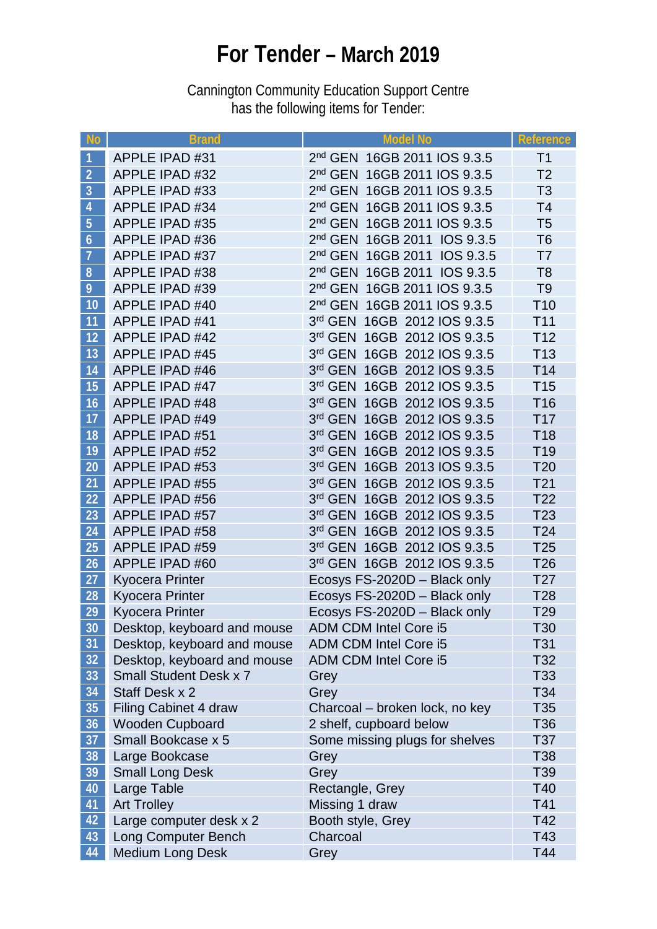## **For Tender – March 2019**

Cannington Community Education Support Centre has the following items for Tender:

| <b>No</b>        | <b>Brand</b>                            | <b>Model No</b>                                            | <b>Reference</b>                   |
|------------------|-----------------------------------------|------------------------------------------------------------|------------------------------------|
|                  | <b>APPLE IPAD #31</b>                   | 2 <sup>nd</sup> GEN 16GB 2011 IOS 9.3.5                    | T <sub>1</sub>                     |
| $\overline{2}$   | <b>APPLE IPAD #32</b>                   | 2nd GEN 16GB 2011 IOS 9.3.5                                | T <sub>2</sub>                     |
| $\overline{3}$   | <b>APPLE IPAD #33</b>                   | 2 <sup>nd</sup> GEN 16GB 2011 IOS 9.3.5                    | T <sub>3</sub>                     |
| $\overline{4}$   | <b>APPLE IPAD #34</b>                   | 2nd GEN 16GB 2011 IOS 9.3.5                                | T <sub>4</sub>                     |
| 5                | <b>APPLE IPAD #35</b>                   | 2nd GEN 16GB 2011 IOS 9.3.5                                | T <sub>5</sub>                     |
| $\boldsymbol{6}$ | <b>APPLE IPAD #36</b>                   | 2nd GEN 16GB 2011 IOS 9.3.5                                | T <sub>6</sub>                     |
| $\overline{7}$   | <b>APPLE IPAD #37</b>                   | 2nd GEN 16GB 2011 IOS 9.3.5                                | T7                                 |
| 8                | <b>APPLE IPAD #38</b>                   | 2 <sup>nd</sup> GEN 16GB 2011 IOS 9.3.5                    | T <sub>8</sub>                     |
| 9                | <b>APPLE IPAD #39</b>                   | 2nd GEN 16GB 2011 IOS 9.3.5                                | T <sub>9</sub>                     |
| 10               | <b>APPLE IPAD #40</b>                   | 2nd GEN 16GB 2011 IOS 9.3.5                                | T <sub>10</sub>                    |
| 11               | <b>APPLE IPAD #41</b>                   | 3rd GEN 16GB 2012 IOS 9.3.5                                | T <sub>11</sub>                    |
| 12               | <b>APPLE IPAD #42</b>                   | 3rd GEN 16GB 2012 IOS 9.3.5                                | T <sub>12</sub>                    |
| 13               | <b>APPLE IPAD #45</b>                   | 3rd GEN 16GB 2012 IOS 9.3.5                                | T <sub>13</sub>                    |
| 14               | <b>APPLE IPAD #46</b>                   | 3rd GEN 16GB 2012 IOS 9.3.5                                | T <sub>14</sub>                    |
| 15               | <b>APPLE IPAD #47</b>                   | 3rd GEN 16GB 2012 IOS 9.3.5                                | T <sub>15</sub>                    |
| 16               | <b>APPLE IPAD #48</b>                   | 3rd GEN 16GB 2012 IOS 9.3.5                                | T <sub>16</sub>                    |
| 17               | APPLE IPAD #49                          | 3rd GEN 16GB 2012 IOS 9.3.5                                | T <sub>17</sub>                    |
| 18               | <b>APPLE IPAD #51</b>                   | 3rd GEN 16GB 2012 IOS 9.3.5                                | T <sub>18</sub>                    |
| 19               | <b>APPLE IPAD #52</b>                   | 3rd GEN 16GB 2012 IOS 9.3.5                                | T <sub>19</sub>                    |
| 20               | <b>APPLE IPAD #53</b>                   | 3rd GEN 16GB 2013 IOS 9.3.5                                | T <sub>20</sub>                    |
| 21               | <b>APPLE IPAD #55</b>                   | 3rd GEN 16GB 2012 IOS 9.3.5                                | T <sub>21</sub>                    |
| 22               | APPLE IPAD #56                          | 3rd GEN 16GB 2012 IOS 9.3.5                                | T <sub>22</sub>                    |
| 23               | <b>APPLE IPAD #57</b>                   | 3rd GEN 16GB 2012 IOS 9.3.5                                | T <sub>23</sub>                    |
| 24               | <b>APPLE IPAD #58</b>                   | 3rd GEN 16GB 2012 IOS 9.3.5<br>3rd GEN 16GB 2012 IOS 9.3.5 | T <sub>24</sub>                    |
| 25<br>26         | <b>APPLE IPAD #59</b><br>APPLE IPAD #60 | 3rd GEN 16GB 2012 IOS 9.3.5                                | T <sub>25</sub><br>T <sub>26</sub> |
| 27               | <b>Kyocera Printer</b>                  | Ecosys FS-2020D - Black only                               | T <sub>27</sub>                    |
| 28               | <b>Kyocera Printer</b>                  | Ecosys FS-2020D - Black only                               | T <sub>28</sub>                    |
| 29               | <b>Kyocera Printer</b>                  | Ecosys FS-2020D - Black only                               | T <sub>29</sub>                    |
| 30               | Desktop, keyboard and mouse             | ADM CDM Intel Core i5                                      | T30                                |
| 31               | Desktop, keyboard and mouse             | ADM CDM Intel Core i5                                      | T31                                |
| 32               | Desktop, keyboard and mouse             | ADM CDM Intel Core i5                                      | T32                                |
| 33               | <b>Small Student Desk x 7</b>           | Grey                                                       | T33                                |
| 34               | Staff Desk x 2                          | Grey                                                       | T34                                |
| 35               | <b>Filing Cabinet 4 draw</b>            | Charcoal - broken lock, no key                             | T35                                |
| 36               | <b>Wooden Cupboard</b>                  | 2 shelf, cupboard below                                    | T36                                |
| 37               | Small Bookcase x 5                      | Some missing plugs for shelves                             | T37                                |
| 38               | Large Bookcase                          | Grey                                                       | <b>T38</b>                         |
| 39               | <b>Small Long Desk</b>                  | Grey                                                       | T39                                |
| 40               | Large Table                             | Rectangle, Grey                                            | T40                                |
| 41               | <b>Art Trolley</b>                      | Missing 1 draw                                             | T41                                |
| 42               | Large computer desk x 2                 | Booth style, Grey                                          | T42                                |
| 43               | <b>Long Computer Bench</b>              | Charcoal                                                   | T43                                |
| 44               | <b>Medium Long Desk</b>                 | Grey                                                       | T44                                |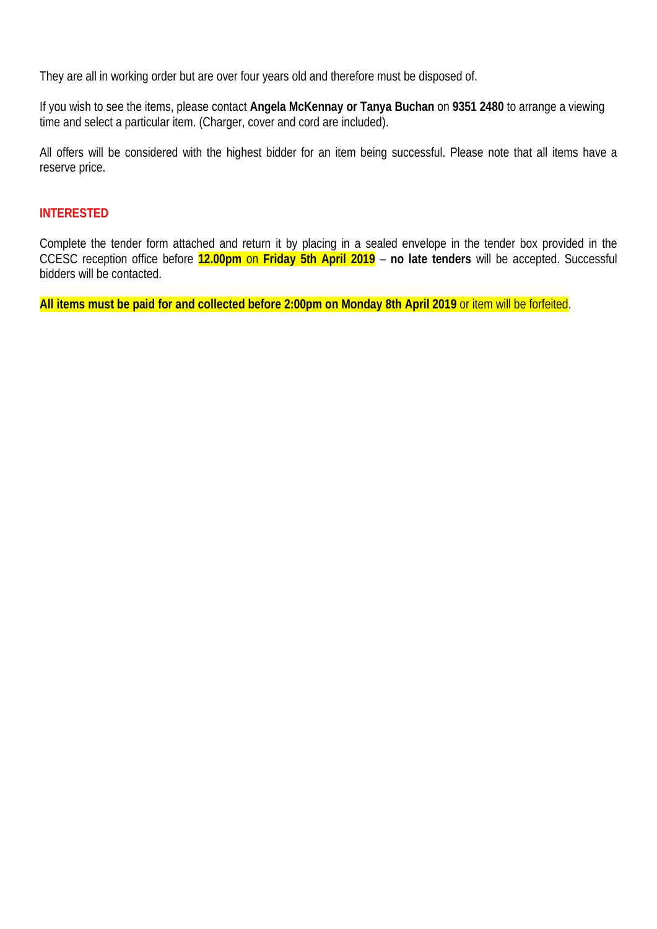They are all in working order but are over four years old and therefore must be disposed of.

If you wish to see the items, please contact **Angela McKennay or Tanya Buchan** on **9351 2480** to arrange a viewing time and select a particular item. (Charger, cover and cord are included).

All offers will be considered with the highest bidder for an item being successful. Please note that all items have a reserve price.

## **INTERESTED**

Complete the tender form attached and return it by placing in a sealed envelope in the tender box provided in the CCESC reception office before **12.00pm** on **Friday 5th April 2019** – **no late tenders** will be accepted. Successful bidders will be contacted.

**All items must be paid for and collected before 2:00pm on Monday 8th April 2019** or item will be forfeited.